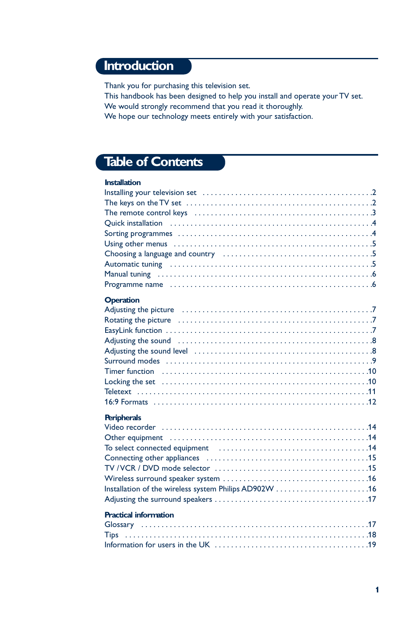# **Introduction**

Thank you for purchasing this television set.

This handbook has been designed to help you install and operate your TV set. We would strongly recommend that you read it thoroughly.

We hope our technology meets entirely with your satisfaction.

# **Table of Contents**

| <b>Installation</b> |  |
|---------------------|--|
|                     |  |
|                     |  |
|                     |  |
|                     |  |
|                     |  |
|                     |  |
|                     |  |
|                     |  |
|                     |  |
|                     |  |
|                     |  |
| <b>Operation</b>    |  |
|                     |  |
|                     |  |
|                     |  |
|                     |  |
|                     |  |
|                     |  |
|                     |  |
|                     |  |
|                     |  |
|                     |  |

#### **Peripherals**

| To select connected equipment (and the context of the select connected equipment (b)  and the set of the selection of the selection of the selection of the set of the selection of the selection of the set of the set of |  |
|----------------------------------------------------------------------------------------------------------------------------------------------------------------------------------------------------------------------------|--|
|                                                                                                                                                                                                                            |  |
|                                                                                                                                                                                                                            |  |
|                                                                                                                                                                                                                            |  |
|                                                                                                                                                                                                                            |  |
|                                                                                                                                                                                                                            |  |
|                                                                                                                                                                                                                            |  |

#### **Practical information**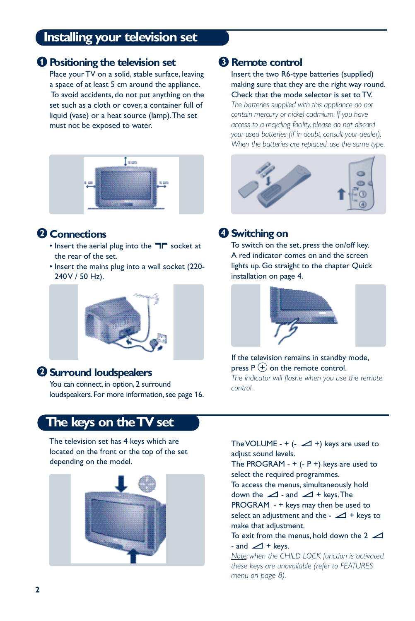# **Installing your television set**

#### & **Positioning the television set**

Place your TV on a solid, stable surface, leaving a space of at least 5 cm around the appliance. To avoid accidents, do not put anything on the set such as a cloth or cover, a container full of liquid (vase) or a heat source (lamp).The set must not be exposed to water.



#### **A** Connections

- Insert the aerial plug into the  $\Box \Box$  socket at the rear of the set.
- Insert the mains plug into a wall socket (220- 240 V / 50 Hz).



## é**Surround loudspeakers**

You can connect, in option, 2 surround loudspeakers. For more information, see page 16.

# **The keys on the TV set**

The television set has 4 keys which are located on the front or the top of the set depending on the model.



## **8 Remote control**

Insert the two R6-type batteries (supplied) making sure that they are the right way round. Check that the mode selector is set to TV. *The batteries supplied with this appliance do not contain mercury or nickel cadmium. If you have access to a recycling facility, please do not discard your used batteries (if in doubt, consult your dealer). When the batteries are replaced, use the same type.*



## **4** Switching on

To switch on the set, press the on/off key. A red indicator comes on and the screen lights up. Go straight to the chapter Quick installation on page 4.



If the television remains in standby mode, press  $P_1(+)$  on the remote control. *The indicator will flashe when you use the remote control.*

The VOLUME -  $+$  ( $\angle$  +) keys are used to adjust sound levels.

The PROGRAM -  $+$  (- P  $+$ ) keys are used to select the required programmes. To access the menus, simultaneously hold down the  $\angle$  - and  $\angle$  + keys. The PROGRAM - + keys may then be used to select an adjustment and the -  $\angle$  + keys to make that adjustment.

To exit from the menus, hold down the  $2 \angle$ - and  $\angle$  + keys.

*Note: when the CHILD LOCK function is activated, these keys are unavailable (refer to FEATURES menu on page 8).*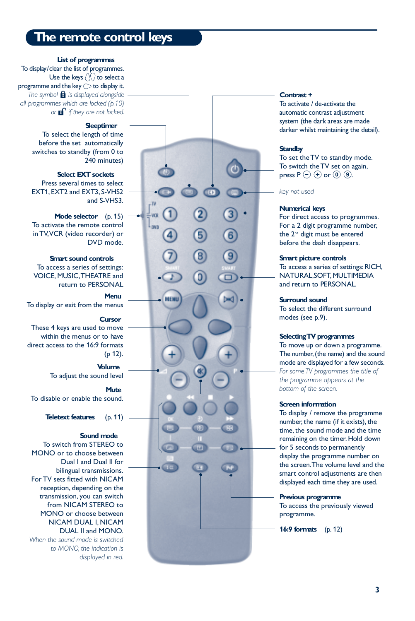# **The remote control keys**

#### **List of programmes**

To display/clear the list of programmes. Use the keys  $\langle \rangle$  to select a programme and the key  $\bigcirc$  to display it. The symbol **f** is displayed alongside *all programmes which are locked (p. 1 0 )* or **n**<sup>o</sup> if they are not locked.

#### **Sleeptimer**

To select the length of time before the set automatically switches to standby (from 0 to 240 minutes)

#### **Select EXT sockets**

Press several times to select EXT1, EXT2 and EXT3, S-VHS2 and S-VHS3.

#### **Mode selector** (p. 15)

To activate the remote control in TV,VCR (video recorder) or DVD mode.

#### **Smart sound controls**

To access a series of settings: VOICE, MUSIC,THEATRE and return to PERSONAL

#### **Menu**

 $\overline{\mathbf{u}}$ w L<sub>DV3</sub>

**NEMI** 

To display or exit from the menus

#### **Cursor**

These 4 keys are used to move within the menus or to have direct access to the 16:9 formats (p 12).

#### **Volume** To adjust the sound level

**Mute**

To disable or enable the sound.

**Teletext features** (p. 11)

#### **Sound mode**

To switch from STEREO to MONO or to choose between Dual I and Dual II for bilingual transmissions. For TV sets fitted with NICAM reception, depending on the transmission, you can switch from NICAM STEREO to MONO or choose between NICAM DUAL I, NICAM DUAL II and MONO.

*When the sound mode is switched to MONO, the indication is displayed in red.*

# **Contrast +**

#### **Screen information**

To display / remove the programme number, the name (if it exists), the time, the sound mode and the time remaining on the timer. Hold down for 5 seconds to permanently display the programme number on the screen. The volume level and the smart control adjustments are then displayed each time they are used.

#### **Previous programme**

To access the previously viewed programme.

**16:9 formats** (p. 12)

**3**

To activate / de-activate the automatic contrast adjustment system (the dark areas are made darker whilst maintaining the detail).

#### **Standby**

To set the TV to standby mode. To switch the TV set on again, press P  $\ominus$   $\oplus$  or  $\textcircled{\scriptsize{0}}$   $\textcircled{\scriptsize{9.}}$ 

*key not used*

#### **Numerical keys**

For direct access to programmes. For a 2 digit programme number, the 2<sup>nd</sup> digit must be entered before the dash disappears.

#### **Smart picture controls**

To access a series of settings: RICH, NATURAL, SOFT, MULTIMEDIA and return to PERSONAL.

#### **Surround sound**

To select the different surround modes (see p.9) .

#### **Selecting TV programmes**

To move up or down a programme. The number, (the name) and the sound mode are displayed for a few seconds. *For some TV programmes the title of the programme appears at the bottom of the screen.*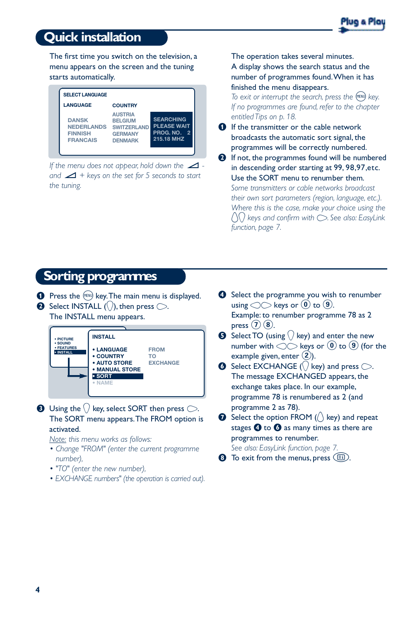# **Quick installation**



The first time you switch on the television, a menu appears on the screen and the tuning starts automatically.



*If the menu does not appear, hold down the and* "*+ keys on the set for 5 seconds to start the tuning.*

The operation takes several minutes.

A display shows the search status and the number of programmes found.When it has finished the menu disappears.

*To exit or interrupt the search, press the*  $(\text{New})$  *key. If no programmes are found, refer to the chapter entitled Tips on p. 18.*

**O** If the transmitter or the cable network broadcasts the automatic sort signal, the programmes will be correctly numbered.

 $\odot$  If not, the programmes found will be numbered in descending order starting at 99, 98, 97, etc. Use the SORT menu to renumber them. *Some transmitters or cable networks broadcast their own sort parameters (region, language, etc.). Where this is the case, make your choice using the*  $\binom{1}{2}$  keys and confirm with  $\bigcirc$ . See also: EasyLink *function, page 7.*

# **Sorting programmes**

- $\bullet$  Press the  $(\text{Hil})$  key. The main menu is displayed.
- $\bullet$  Select INSTALL ( $\langle \rangle$ ), then press  $\circlearrowright$ .

The INSTALL menu appears.



 $\bullet$  Using the  $\langle \rangle$  key, select SORT then press  $\circlearrowright$ . The SORT menu appears.The FROM option is activated.

*Note: this menu works as follows:*

- *Change "FROM" (enter the current programme number),*
- *"TO" (enter the new number),*
- *EXCHANGE numbers" (the operation is carried out).*
- **4** Select the programme you wish to renumber using  $\circlearrowleft$  keys or  $\circledcirc$  to  $\circledcirc$ . Example: to renumber programme 78 as 2 press  $(7)(8)$ .
- **6** Select TO (using  $\bigcirc$  key) and enter the new number with  $\circlearrowright$  keys or (0) to (9) (for the example given, enter  $(2)$ .
- $\bullet$  Select EXCHANGE ( $\langle \rangle$  key) and press  $\circlearrowright$ . The message EXCHANGED appears, the exchange takes place. In our example, programme 78 is renumbered as 2 (and programme 2 as 78).
- $\bullet$  Select the option FROM ( $\setminus$  key) and repeat stages  $\Theta$  to  $\Theta$  as many times as there are programmes to renumber. *See also: EasyLink function, page 7.*
- $\bullet$  To exit from the menus, press  $\circ$ .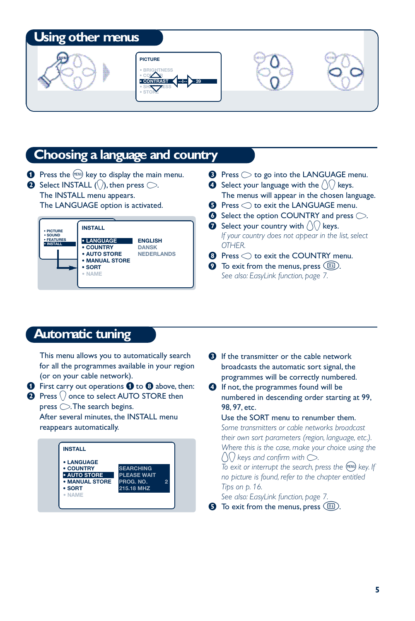# **Using other menus**





# **Choosing a language and country**

 $\bullet$  Press the  $(150)$  key to display the main menu.  $\bullet$  Select INSTALL ( $\langle \rangle$ ), then press  $\circlearrowright$ . The INSTALL menu appears.

The LANGUAGE option is activated.



- $\bullet$  Press  $\circlearrowright$  to go into the LANGUAGE menu.
- **Select your language with the**  $\left(\frac{1}{2}\right)$  **keys.** The menus will appear in the chosen language.
- $\Theta$  Press  $\bigcirc$  to exit the LANGUAGE menu.
- $\bullet$  Select the option COUNTRY and press  $\circlearrowright$ .
- $\bullet$  Select your country with  $\langle \cdot \rangle$  keys. *If your country does not appear in the list, select OTHER.*
- $\bullet$  Press  $\bigcirc$  to exit the COUNTRY menu.
- $\Omega$  To exit from the menus, press  $\left(\Box\right)$ . *See also: EasyLink function, page 7.*

# **Automatic tuning**

This menu allows you to automatically search for all the programmes available in your region (or on your cable network).

 $\bullet$  First carry out operations  $\bullet$  to  $\bullet$  above, then:

 $\bullet$  Press  $\langle \rangle$  once to select AUTO STORE then  $p$ ress  $\bigcirc$ . The search begins.

After several minutes, the INSTALL menu reappears automatically.



- $\Theta$  If the transmitter or the cable network broadcasts the automatic sort signal, the programmes will be correctly numbered.
- **1** If not, the programmes found will be numbered in descending order starting at 99, 98, 97, etc.

#### Use the SORT menu to renumber them.

*Some transmitters or cable networks broadcast their own sort parameters (region, language, etc.). Where this is the case, make your choice using the*  $\bigcap$  keys and confirm with  $\bigcirc$ .

*To exit or interrupt the search, press the* (HENU) key. If *no picture is found, refer to the chapter entitled Tips on p. 16.*

*See also: EasyLink function, page 7.*

 $\bullet$  To exit from the menus, press  $\circ$ .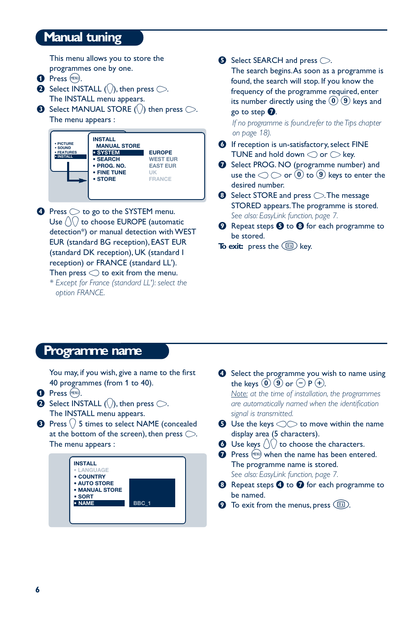# **Manual tuning**

This menu allows you to store the programmes one by one.

- **O** Press (MENU).
- $\bullet$  Select INSTALL (\), then press  $\circlearrowright$ . The INSTALL menu appears.
- $\bullet$  Select MANUAL STORE (\) then press  $\circlearrowright$ . The menu appears :



- $\bullet$  Press  $\circlearrowright$  to go to the SYSTEM menu. Use  $\langle \rangle$  to choose EUROPE (automatic detection\*) or manual detection with WEST EUR (standard BG reception), EAST EUR (standard DK reception), UK (standard I reception) or FRANCE (standard LL'). Then press  $\bigcirc$  to exit from the menu. *\* Except for France (standard LL'): select the*
	- *option FRANCE.*

 $\bullet$  Select SEARCH and press  $\bigcirc$ .

The search begins.As soon as a programme is found, the search will stop. If you know the frequency of the programme required, enter its number directly using the  $(0)(9)$  keys and go to step  $\Omega$ .

*If no programme is found, refer to the Tips chapter on page 18).*

- § If reception is un-satisfactory, select FINE TUNE and hold down  $\bigcirc$  or  $\bigcirc$  key.
- **•** Select PROG. NO (programme number) and use the  $\bigcirc$   $\bigcirc$  or  $\left(0\right)$  to  $\left(9\right)$  keys to enter the desired number.
- $\odot$  Select STORE and press  $\odot$ . The message STORED appears.The programme is stored. *See also: EasyLink function, page 7.*
- $\odot$  Repeat steps  $\odot$  to  $\odot$  for each programme to be stored.

**To exit:** press the **B** key.

# **Programme name**

You may, if you wish, give a name to the first 40 programmes (from 1 to 40).

- **O** Press (MENU).
- $\bullet$  Select INSTALL ( $\langle \rangle$ ), then press  $\circlearrowright$ . The INSTALL menu appears.
- $\bigodot$  Press  $\langle \rangle$  5 times to select NAME (concealed at the bottom of the screen), then press  $\bigcirc$ . The menu appears :



- **4** Select the programme you wish to name using the keys  $(0)$   $(9)$  or  $(-)$  P $(+)$ . *Note: at the time of installation, the programmes are automatically named when the identification signal is transmitted.*
- $\bullet$  Use the keys  $\circlearrowright$  to move within the name display area (5 characters).
- $\bullet$  Use keys  $\langle \cdot \rangle$  to choose the characters.
- $\bullet$  Press (MENU) when the name has been entered. The programme name is stored. *See also: EasyLink function, page 7.*
- $\bullet$  Repeat steps  $\bullet$  to  $\bullet$  for each programme to be named.
- $\bullet$  To exit from the menus, press  $\circled{\text{F}}$ .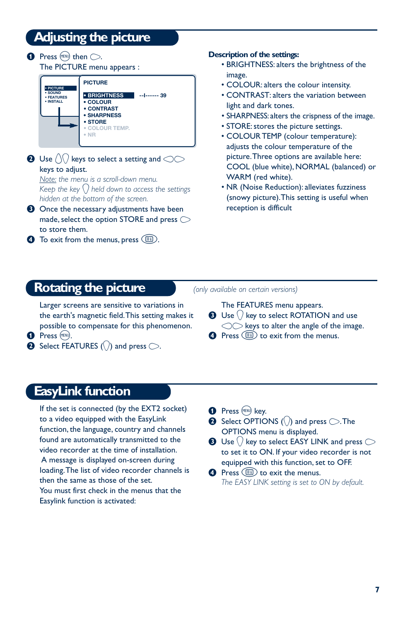# **Adjusting the picture**

 $\bullet$  Press (HENU) then  $\circlearrowright$ .

The PICTURE menu appears : **PICTURE**

| · PICTURE<br>· SOUND<br><b>• FEATURES</b><br>· INSTALL | <b>• BRIGHTNESS</b><br>• COLOUR<br>• CONTRAST<br>• SHARPNESS | --------- 39 |
|--------------------------------------------------------|--------------------------------------------------------------|--------------|
|                                                        | $\cdot$ STORE<br><b>COLOUR TEMP.</b><br>$\bullet$ NR         |              |

 $\bigcirc$  Use  $\bigcirc$  keys to select a setting and  $\bigcirc$ keys to adjust.

*Note: the menu is a scroll-down menu. Keep the key* J *held down to access the settings hidden at the bottom of the screen.*

- $\Theta$  Once the necessary adjustments have been made, select the option STORE and press  $\bigcirc$ to store them.
- $\bullet$  To exit from the menus, press  $\circled{\text{F}}$ .

#### **Description of the settings:**

- BRIGHTNESS: alters the brightness of the image.
- COLOUR: alters the colour intensity.
- CONTRAST: alters the variation between light and dark tones.
- SHARPNESS: alters the crispness of the image.
- STORE: stores the picture settings.
- COLOUR TEMP (colour temperature): adjusts the colour temperature of the picture.Three options are available here: COOL (blue white), NORMAL (balanced) or WARM (red white).
- NR (Noise Reduction): alleviates fuzziness (snowy picture).This setting is useful when reception is difficult

# **Rotating the picture**

Larger screens are sensitive to variations in the earth's magnetic field.This setting makes it possible to compensate for this phenomenon.

*(only available on certain versions)*

The FEATURES menu appears.

- $\bigodot$  Use  $\langle$  key to select ROTATION and use  $\bigcirc$  keys to alter the angle of the image.
- $\bullet$  Press  $\circled{ii}$  to exit from the menus.
- **1** Press (MENU).
- $\bullet$  Select FEATURES ( $\Diamond$ ) and press  $\circlearrowright$ .

# **EasyLink function**

If the set is connected (by the EXT2 socket) to a video equipped with the EasyLink function, the language, country and channels found are automatically transmitted to the video recorder at the time of installation. A message is displayed on-screen during loading.The list of video recorder channels is then the same as those of the set. You must first check in the menus that the Easylink function is activated:

**O** Press (MENU) key.

- $\bullet$  Select OPTIONS ( $\setminus$ ) and press  $\circlearrowright$ . The OPTIONS menu is displayed.
- $\bullet$  Use  $\langle$  ) key to select EASY LINK and press  $\circlearrowright$ to set it to ON. If your video recorder is not equipped with this function, set to OFF.
- **4** Press  $\textcircled{\tiny{\textsf{E}}}$  to exit the menus. *The EASY LINK setting is set to ON by default.*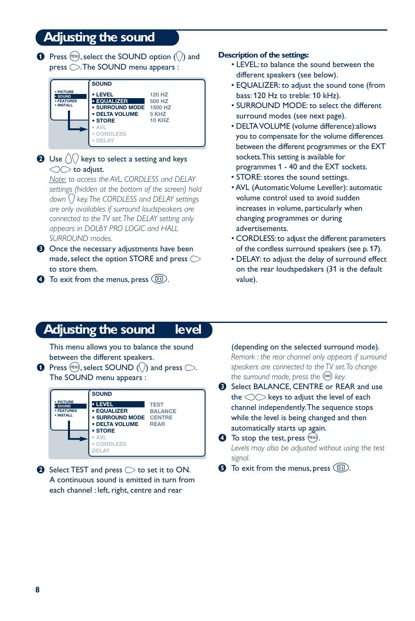# **Adjusting the sound**

 $\bullet$  Press (HEND), select the SOUND option (()) and press  $\bigcirc$ .The SOUND menu appears :



#### $\bullet$  Use  $\land\land$  keys to select a setting and keys  $\bigcirc$  to adjust.

*Note: to access the AVL, CORDLESS and DELAY settings (hidden at the bottom of the screen) hold down* J *key.The CORDLESS and DELAY settings are only availables if surround loudspeakers are connected to the TV set.The DELAY setting only appears in DOLBY PRO LOGIC and HALL SURROUND modes.*

- $\Theta$  Once the necessary adjustments have been made, select the option STORE and press  $\bigcirc$ to store them.
- $\bullet$  To exit from the menus, press  $\circ$ .

#### **Description of the settings:**

- LEVEL: to balance the sound between the different speakers (see below).
- EQUALIZER: to adjust the sound tone (from bass: 120 Hz to treble: 10 kHz).
- SURROUND MODE: to select the different surround modes (see next page).
- DELTA VOLUME (volume difference): allows you to compensate for the volume differences between the different programmes or the EXT sockets. This setting is available for programmes 1 - 40 and the EXT sockets.
- STORE: stores the sound settings.
- AVL (Automatic Volume Leveller): automatic volume control used to avoid sudden increases in volume, particularly when changing programmes or during advertisements.
- CORDLESS: to adjust the different parameters of the cordless surround speakers (see p. 17).
- DELAY: to adjust the delay of surround effect on the rear loudspedakers (31 is the default value).

# **Adjusting the sound level**

This menu allows you to balance the sound between the different speakers.

**O** Press (HEND), select SOUND () and press  $\bigcirc$ . The SOUND menu appears :



 $\bullet$  Select TEST and press  $\circlearrowright$  to set it to ON. A continuous sound is emitted in turn from each channel : left, right, centre and rear

(depending on the selected surround mode). *Remark : the rear channel only appears if surround speakers are connected to the TV set.To change the surround mode, press the*  $(\mathbb{P}^n)$  *key.* 

**8** Select BALANCE, CENTRE or REAR and use the  $\bigcirc$  keys to adjust the level of each channel independently.The sequence stops while the level is being changed and then automatically starts up again.

 $\bullet$  To stop the test, press (HENU). *Levels may also be adjusted without using the test signal.*

 $\Theta$  To exit from the menus, press  $\left(\Box\right)$ .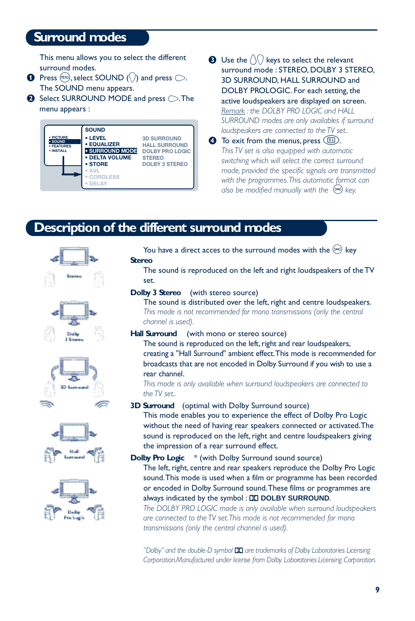# **Surround modes**

This menu allows you to select the different surround modes.

- **O** Press (HENU), select SOUND (\) and press  $\bigcirc$ . The SOUND menu appears.
- $\bullet$  Select SURROUND MODE and press  $\circlearrowright$ . The menu appears :



 $\bigodot$  Use the  $\langle \cdot \rangle$  keys to select the relevant surround mode : STEREO, DOLBY 3 STEREO, 3D SURROUND, HALL SURROUND and DOLBY PROLOGIC. For each setting, the

active loudspeakers are displayed on screen. *Remark : the DOLBY PRO LOGIC and HALL* SURROUND modes are only availables if surround *loudspeakers are connected to the TV set..* 

 $\bullet$  To exit from the menus, press  $\circled{\scriptstyle\text{E}}$ . *This TV set is also equipped with automatic switching which will select the correct surround mode, provided the specific signals are transmitted with the programmes.This automatic format can also be modified manually with the*  $(\mathbb{P}^n)$  *key.* 

# **Description of the different surround modes**





You have a direct acces to the surround modes with the  $[0.4]$  key **Stereo**

The sound is reproduced on the left and right loudspeakers of the TV set.

#### **Dolby 3 Stereo** (with stereo source)

The sound is distributed over the left, right and centre loudspeakers. *This mode is not recommended for mono transmissions (only the central channel is used).*

**Hall Surround** (with mono or stereo source)

The sound is reproduced on the left, right and rear loudspeakers, creating a "Hall Surround" ambient effect. This mode is recommended for broadcasts that are not encoded in Dolby Surround if you wish to use a rear channel.

*This mode is only available when surround loudspeakers are connected to the TV set..*

**3D Surround** (optimal with Dolby Surround source)

This mode enables you to experience the effect of Dolby Pro Logic without the need of having rear speakers connected or activated.The sound is reproduced on the left, right and centre loudspeakers giving the impression of a rear surround effect.

#### **Dolby Pro Logic**  $*$  (with Dolby Surround sound source)

The left, right, centre and rear speakers reproduce the Dolby Pro Logic sound.This mode is used when a film or programme has been recorded or encoded in Dolby Surround sound.These films or programmes are always indicated by the symbol : **DO DOLBY SURROUND**.

*The DOLBY PRO LOGIC mode is only available when surround loudspeakers are connected to the TV set.This mode is not recommended for mono transmissions (only the central channel is used).*

" Dolby" and the double-D symbol **DD** are trademarks of Dolby Laboratories Licensing Corporation.Manufactured under license from Dolby Laboratories Licensing Corporation.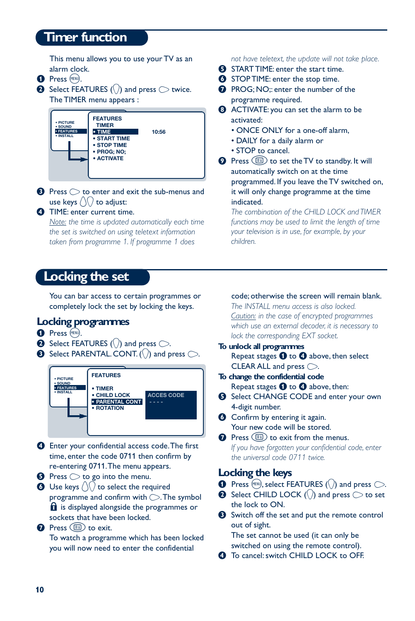# **Timer function**

This menu allows you to use your TV as an alarm clock.

- **O** Press (MENU).
- $\bullet$  Select FEATURES ( $\langle \rangle$ ) and press  $\circlearrowright$  twice. The TIMER menu appears :



 $\bullet$  Press  $\circlearrowright$  to enter and exit the sub-menus and use keys  $\langle \rangle$  to adjust:

#### **1** TIME: enter current time.

*Note: the time is updated automatically each time the set is switched on using teletext information taken from programme 1. If programme 1 does*

# **Locking the set**

You can bar access to certain programmes or completely lock the set by locking the keys.

## **Locking programmes**

- **O** Press (MENU).
- $\bullet$  Select FEATURES () and press  $\circlearrowright$ .
- $\bullet$  Select PARENTAL. CONT. (\) and press  $\circlearrowright$ .



- **4** Enter your confidential access code. The first time, enter the code 0711 then confirm by re-entering 0711.The menu appears.
- $\Theta$  Press  $\bigcirc$  to go into the menu.
- $\bigcirc$  Use keys  $\bigcirc$  to select the required programme and confirm with  $\bigcirc$ . The symbol  $\mathbf{\Omega}$  is displayed alongside the programmes or sockets that have been locked.
- **O** Press (ED) to exit. To watch a programme which has been locked you will now need to enter the confidential

#### *not have teletext, the update will not take place.*

- **6** START TIME: enter the start time.
- **<sup>6</sup>** STOP TIME: enter the stop time.
- **O** PROG; NO;: enter the number of the programme required.
- **3** ACTIVATE: you can set the alarm to be activated:
	- ONCE ONLY for a one-off alarm,
	- DAILY for a daily alarm or
	- STOP to cancel.
- **Q** Press  $\circled{=}$  to set the TV to standby. It will automatically switch on at the time programmed. If you leave the TV switched on, it will only change programme at the time indicated.

*The combination of the CHILD LOCK and TIMER functions may be used to limit the length of time your television is in use, for example, by your children.*

#### code; otherwise the screen will remain blank.

*The INSTALL menu access is also locked. Caution: in the case of encrypted programmes which use an external decoder, it is necessary to lock the corresponding EXT socket.*

- **To unlock all programmes** Repeat stages  $\bigcirc$  to  $\bigcirc$  above, then select CLEAR ALL and press  $\bigcirc$ .
- **To change the confidential code** Repeat stages  $\bigcirc$  to  $\bigcirc$  above, then:
- **6** Select CHANGE CODE and enter your own 4-digit number.
- **<sup>6</sup>** Confirm by entering it again. Your new code will be stored.
- $\Omega$  Press  $\textcircled{\text{F}}$  to exit from the menus. *If you have forgotten your confidential code, enter the universal code 0711 twice.*

#### **Locking the keys**

- **O** Press (HRN), select FEATURES ( $\binom{1}{k}$  and press  $\bigcirc$ .
- $\bullet$  Select CHILD LOCK ( $\cap$ ) and press  $\circlearrowright$  to set the lock to ON.
- **8** Switch off the set and put the remote control out of sight.

The set cannot be used (it can only be switched on using the remote control).

 $\bullet$  To cancel: switch CHILD LOCK to OFF.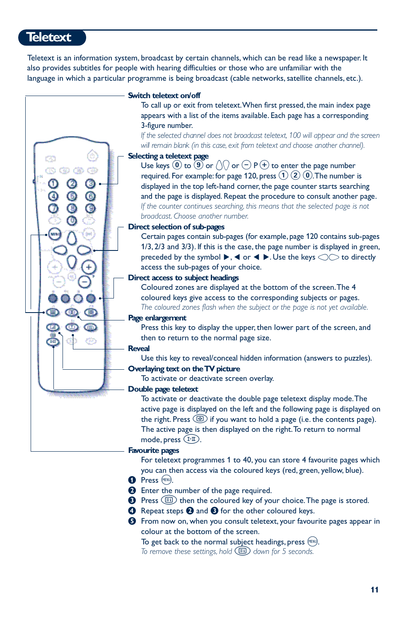# **Teletext**

Teletext is an information system, broadcast by certain channels, which can be read like a newspaper. It also provides subtitles for people with hearing difficulties or those who are unfamiliar with the language in which a particular programme is being broadcast (cable networks, satellite channels, etc.).



To get back to the normal subject headings, press  $(\text{rem})$ .

*To remove these settings, hold* R*down for 5 seconds.*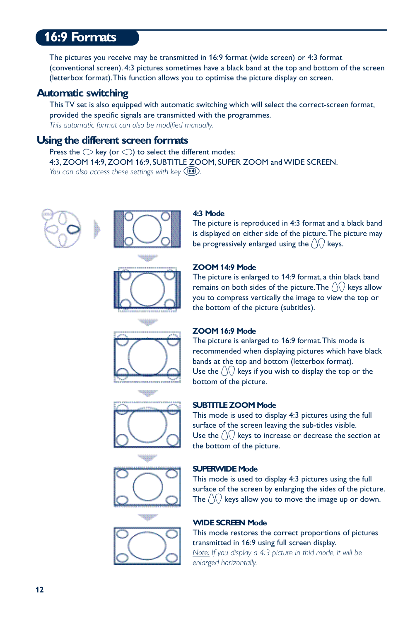# **16:9 Formats**

The pictures you receive may be transmitted in 16:9 format (wide screen) or 4:3 format (conventional screen). 4:3 pictures sometimes have a black band at the top and bottom of the screen (letterbox format).This function allows you to optimise the picture display on screen.

#### **Automatic switching**

This TV set is also equipped with automatic switching which will select the correct-screen format, provided the specific signals are transmitted with the programmes. *This automatic format can olso be modified manually.*

## **Using the different screen formats**

Press the  $\bigcirc$  key (or  $\bigcirc$ ) to select the different modes: 4:3, ZOOM 14:9, ZOOM 16:9, SUBTITLE ZOOM, SUPER ZOOM and WIDE SCREEN. *You can also access these settings with key*  $(P)$ .





#### **4:3 Mode**

The picture is reproduced in 4:3 format and a black band is displayed on either side of the picture.The picture may be progressively enlarged using the  $\langle \rangle \langle \rangle$  keys.

# **ZOOM 14:9 Mode**

The picture is enlarged to 14:9 format, a thin black band remains on both sides of the picture. The  $\langle \rangle$  keys allow you to compress vertically the image to view the top or the bottom of the picture (subtitles).

#### **ZOOM 16:9 Mode**

The picture is enlarged to 16:9 format.This mode is recommended when displaying pictures which have black bands at the top and bottom (letterbox format). Use the  $\langle \rangle$  keys if you wish to display the top or the bottom of the picture.

#### **SUBTITLE ZOOM Mode**

This mode is used to display 4:3 pictures using the full surface of the screen leaving the sub-titles visible. Use the  $\int \int \int \log s$  to increase or decrease the section at the bottom of the picture.

#### **SUPERWIDE Mode**

This mode is used to display 4:3 pictures using the full surface of the screen by enlarging the sides of the picture. The  $\left(\sqrt{\ }right)$  keys allow you to move the image up or down.

#### **WIDE SCREEN Mode**

This mode restores the correct proportions of pictures transmitted in 16:9 using full screen display.

*Note: If you display a 4:3 picture in thid mode, it will be enlarged horizontally.*









**TEST**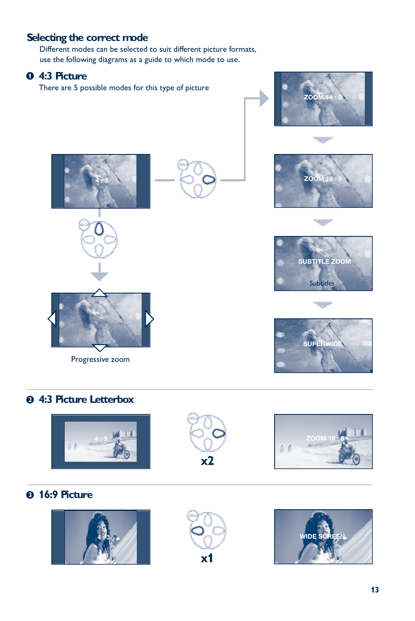# **Selecting the correct mode**

Different modes can be selected to suit different picture formats, use the following diagrams as a guide to which mode to use.



# é **4:3 Picture Letterbox**







# **8 16:9 Picture**





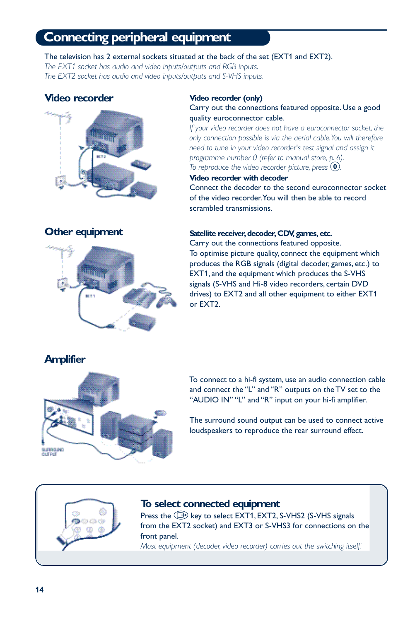# **Connecting peripheral equipment**

The television has 2 external sockets situated at the back of the set (EXT1 and EXT2).

*The EXT1 socket has audio and video inputs/outputs and RGB inputs. The EXT2 socket has audio and video inputs/outputs and S-VHS inputs.*

# **Video recorder**



# **Other equipment**



#### **Video recorder (only)**

#### Carry out the connections featured opposite. Use a good quality euroconnector cable.

*If your video recorder does not have a euroconnector socket, the only connection possible is via the aerial cable.You will therefore need to tune in your video recorder's test signal and assign it programme number 0 (refer to manual store, p. 6). To reproduce the video recorder picture, press*  $\omega$ .

#### **Video recorder with decoder**

Connect the decoder to the second euroconnector socket of the video recorder.You will then be able to record scrambled transmissions.

#### **Satellite receiver, decoder, CDV, games, etc.**

Carry out the connections featured opposite. To optimise picture quality, connect the equipment which produces the RGB signals (digital decoder, games, etc.) to EXT1, and the equipment which produces the S-VHS signals (S-VHS and Hi-8 video recorders, certain DVD drives) to EXT2 and all other equipment to either EXT1 or EXT2.

# **Amplifier**



To connect to a hi-fi system, use an audio connection cable and connect the "L" and "R" outputs on the TV set to the "AUDIO IN" "L" and "R" input on your hi-fi amplifier.

The surround sound output can be used to connect active loudspeakers to reproduce the rear surround effect.



#### **To select connected equipment**

Press the  $\bigoplus$  key to select EXT1, EXT2, S-VHS2 (S-VHS signals from the EXT2 socket) and EXT3 or S-VHS3 for connections on the front panel.

*Most equipment (decoder, video recorder) carries out the switching itself.*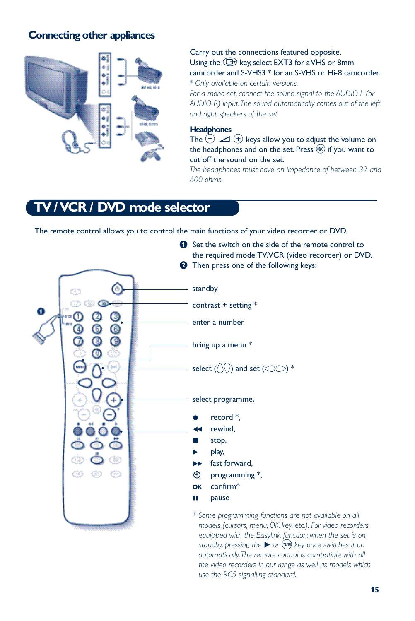# **Connecting other appliances**



Carry out the connections featured opposite. Using the  $\bigoplus$  key, select EXT3 for a VHS or 8mm camcorder and S-VHS3 \* for an S-VHS or Hi-8 camcorder. \* *Only available on certain versions.*

*For a mono set, connect the sound signal to the AUDIO L (or AUDIO R) input.The sound automatically comes out of the left and right speakers of the set.*

#### **Headphones**

The  $\overline{(-)}$   $\overline{\mathcal{A}}$   $\overline{(+)}$  keys allow you to adjust the volume on the headphones and on the set. Press  $\mathcal{R}$  if you want to cut off the sound on the set.

*The headphones must have an impedance of between 32 and 600 ohms.*

# **YCR / DVD mode selector**

The remote control allows you to control the main functions of your video recorder or DVD.



*\* Some programming functions are not available on all models (cursors, menu, OK key, etc.). For video recorders equipped with the Easylink function: when the set is on standby, pressing the ▶ or* (HENU) key once switches it on *automatically.The remote control is compatible with all the video recorders in our range as well as models which use the RC5 signalling standard.*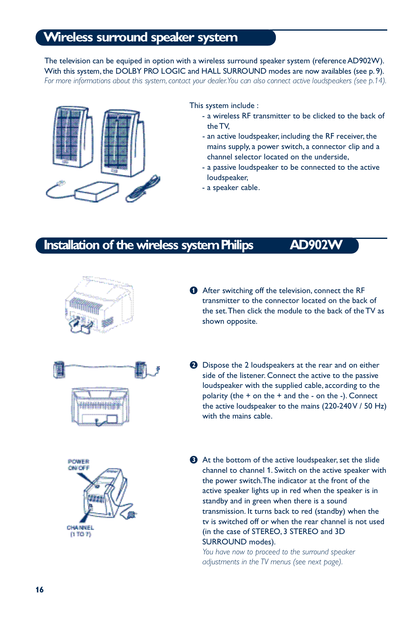# **Wireless surround speaker system**

The television can be equiped in option with a wireless surround speaker system (reference AD902W). With this system, the DOLBY PRO LOGIC and HALL SURROUND modes are now availables (see p. 9). For more informations about this system, contact your dealer. You can also connect active loudspeakers (see p.14).



This system include :

- a wireless RF transmitter to be clicked to the back of the TV,
- an active loudspeaker, including the RF receiver, the mains supply, a power switch, a connector clip and a channel selector located on the underside,
- a passive loudspeaker to be connected to the active loudspeaker,
- a speaker cable.

# **Installation of the wireless system Philips AD902\**



- & After switching off the television, connect the RF transmitter to the connector located on the back of the set.Then click the module to the back of the TV as shown opposite.
- **<sup>2</sup>** Dispose the 2 loudspeakers at the rear and on either side of the listener. Connect the active to the passive loudspeaker with the supplied cable, according to the polarity (the  $+$  on the  $+$  and the  $-$  on the  $-$ ). Connect the active loudspeaker to the mains (220-240 V / 50 Hz) with the mains cable.



 $\bullet$  At the bottom of the active loudspeaker, set the slide channel to channel 1. Switch on the active speaker with the power switch.The indicator at the front of the active speaker lights up in red when the speaker is in standby and in green when there is a sound transmission. It turns back to red (standby) when the tv is switched off or when the rear channel is not used (in the case of STEREO, 3 STEREO and 3D SURROUND modes).

*You have now to proceed to the surround speaker adjustments in the TV menus (see next page).*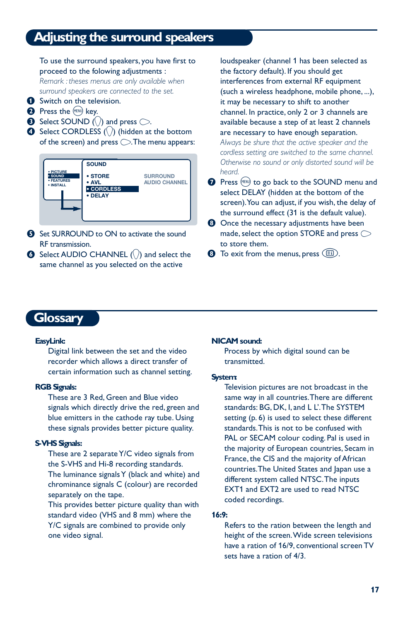# **Adjusting the surround speakers**

To use the surround speakers, you have first to proceed to the folowing adjustments :

*Remark : theses menus are only available when surround speakers are connected to the set.*

- Switch on the television.
- <sup>2</sup> Press the MENU) key.
- **3** Select SOUND ( $\Diamond$ ) and press  $\Diamond$ .
- $\bullet$  Select CORDLESS ( $\langle \rangle$ ) (hidden at the bottom of the screen) and press  $\bigcirc$ . The menu appears:



- **6** Set SURROUND to ON to activate the sound RF transmission.
- $\bullet$  Select AUDIO CHANNEL  $(\cdot)$  and select the same channel as you selected on the active

loudspeaker (channel 1 has been selected as the factory default). If you should get interferences from external RF equipment (such a wireless headphone, mobile phone, ...), it may be necessary to shift to another channel. In practice, only 2 or 3 channels are available because a step of at least 2 channels are necessary to have enough separation.

*Always be shure that the active speaker and the cordless setting are switched to the same channel. Otherwise no sound or only distorted sound will be heard.*

- **O** Press (HEND) to go back to the SOUND menu and select DELAY (hidden at the bottom of the screen).You can adjust, if you wish, the delay of the surround effect (31 is the default value).
- **8** Once the necessary adjustments have been made, select the option STORE and press  $\bigcirc$ to store them.
- $\bullet$  To exit from the menus, press  $\circ$ .

# **Glossary**

#### **EasyLink:**

Digital link between the set and the video recorder which allows a direct transfer of certain information such as channel setting.

#### **RGB Signals:**

These are 3 Red, Green and Blue video signals which directly drive the red, green and blue emitters in the cathode ray tube. Using these signals provides better picture quality.

#### **S-VHS Signals:**

These are 2 separate Y/C video signals from the S-VHS and Hi-8 recording standards. The luminance signals Y (black and white) and chrominance signals C (colour) are recorded separately on the tape.

This provides better picture quality than with standard video (VHS and 8 mm) where the Y/C signals are combined to provide only one video signal.

#### **NICAM sound:**

Process by which digital sound can be transmitted.

#### **System:**

Television pictures are not broadcast in the same way in all countries.There are different standards: BG, DK, I, and L L'.The SYSTEM setting (p. 6) is used to select these different standards.This is not to be confused with PAL or SECAM colour coding. Pal is used in the majority of European countries, Secam in France, the CIS and the majority of African countries.The United States and Japan use a different system called NTSC.The inputs EXT1 and EXT2 are used to read NTSC coded recordings.

#### **16:9:**

Refers to the ration between the length and height of the screen.Wide screen televisions have a ration of 16/9, conventional screen TV sets have a ration of 4/3.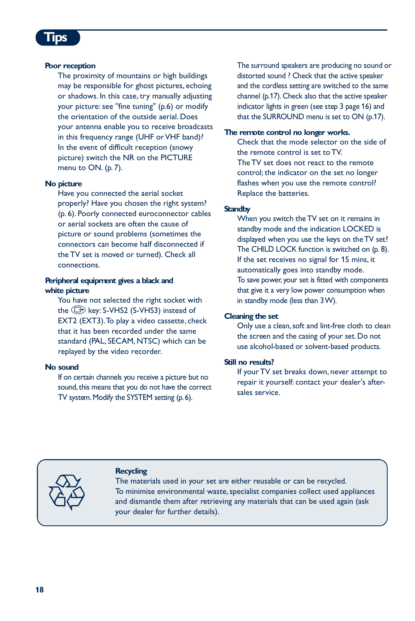# **Tips**

#### **Poor reception**

The proximity of mountains or high buildings may be responsible for ghost pictures, echoing or shadows. In this case, try manually adjusting your picture: see "fine tuning" (p.6) or modify the orientation of the outside aerial. Does your antenna enable you to receive broadcasts in this frequency range (UHF or VHF band)? In the event of difficult reception (snowy picture) switch the NR on the PICTURE menu to ON. (p. 7).

#### **No picture**

Have you connected the aerial socket properly? Have you chosen the right system? (p. 6). Poorly connected euroconnector cables or aerial sockets are often the cause of picture or sound problems (sometimes the connectors can become half disconnected if the TV set is moved or turned). Check all connections.

#### **Peripheral equipment gives a black and white picture**

You have not selected the right socket with the  $\bigoplus$  key: S-VHS2 (S-VHS3) instead of EXT2 (EXT3).To play a video cassette, check that it has been recorded under the same standard (PAL, SECAM, NTSC) which can be replayed by the video recorder.

#### **No sound**

If on certain channels you receive a picture but no sound, this means that you do not have the correct TV system. Modify the SYSTEM setting (p. 6).

The surround speakers are producing no sound or distorted sound ? Check that the active speaker and the cordless setting are switched to the same channel (p.17). Check also that the active speaker indicator lights in green (see step 3 page 16) and that the SURROUND menu is set to ON (p.17).

#### **The remote control no longer works.**

Check that the mode selector on the side of the remote control is set to TV. The TV set does not react to the remote control; the indicator on the set no longer flashes when you use the remote control? Replace the batteries.

#### **Standby**

When you switch the TV set on it remains in standby mode and the indication LOCKED is displayed when you use the keys on the TV set? The CHILD LOCK function is switched on (p. 8). If the set receives no signal for 15 mins, it automatically goes into standby mode. To save power, your set is fitted with components that give it a very low power consumption when in standby mode (less than 3 W).

#### **Cleaning the set**

Only use a clean, soft and lint-free cloth to clean the screen and the casing of your set. Do not use alcohol-based or solvent-based products.

#### **Still no results?**

If your TV set breaks down, never attempt to repair it yourself: contact your dealer's aftersales service.



#### **Recycling**

The materials used in your set are either reusable or can be recycled. To minimise environmental waste, specialist companies collect used appliances and dismantle them after retrieving any materials that can be used again (ask your dealer for further details).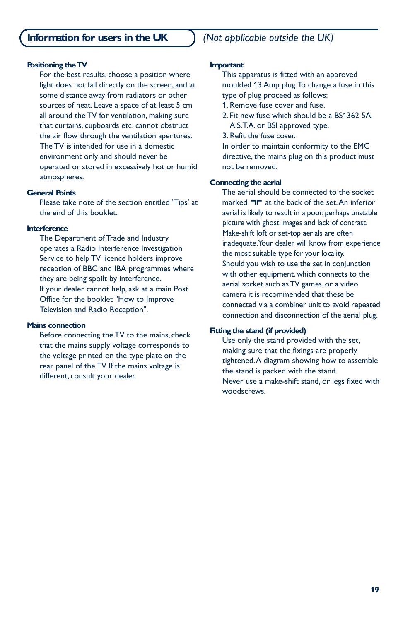#### **Positioning the TV**

For the best results, choose a position where light does not fall directly on the screen, and at some distance away from radiators or other sources of heat. Leave a space of at least 5 cm all around the TV for ventilation, making sure that curtains, cupboards etc. cannot obstruct the air flow through the ventilation apertures. The TV is intended for use in a domestic environment only and should never be operated or stored in excessively hot or humid atmospheres.

#### **General Points**

Please take note of the section entitled 'Tips' at the end of this booklet.

#### **Interference**

The Department of Trade and Industry operates a Radio Interference Investigation Service to help TV licence holders improve reception of BBC and IBA programmes where they are being spoilt by interference. If your dealer cannot help, ask at a main Post Office for the booklet "How to Improve Television and Radio Reception".

#### **Mains connection**

Before connecting the TV to the mains, check that the mains supply voltage corresponds to the voltage printed on the type plate on the rear panel of the TV. If the mains voltage is different, consult your dealer.

#### **Important**

This apparatus is fitted with an approved moulded 13 Amp plug.To change a fuse in this type of plug proceed as follows:

- 1. Remove fuse cover and fuse.
- 2. Fit new fuse which should be a BS1362 5A, A.S.T.A. or BSI approved type.
- 3. Refit the fuse cover.

In order to maintain conformity to the EMC directive, the mains plug on this product must not be removed.

#### **Connecting the aerial**

The aerial should be connected to the socket marked  $\blacksquare\blacksquare$  at the back of the set. An inferior aerial is likely to result in a poor, perhaps unstable picture with ghost images and lack of contrast. Make-shift loft or set-top aerials are often inadequate. Your dealer will know from experience the most suitable type for your locality. Should you wish to use the set in conjunction with other equipment, which connects to the aerial socket such as TV games, or a video camera it is recommended that these be connected via a combiner unit to avoid repeated connection and disconnection of the aerial plug.

#### **Fitting the stand (if provided)**

Use only the stand provided with the set, making sure that the fixings are properly tightened.A diagram showing how to assemble the stand is packed with the stand. Never use a make-shift stand, or legs fixed with woodscrews.